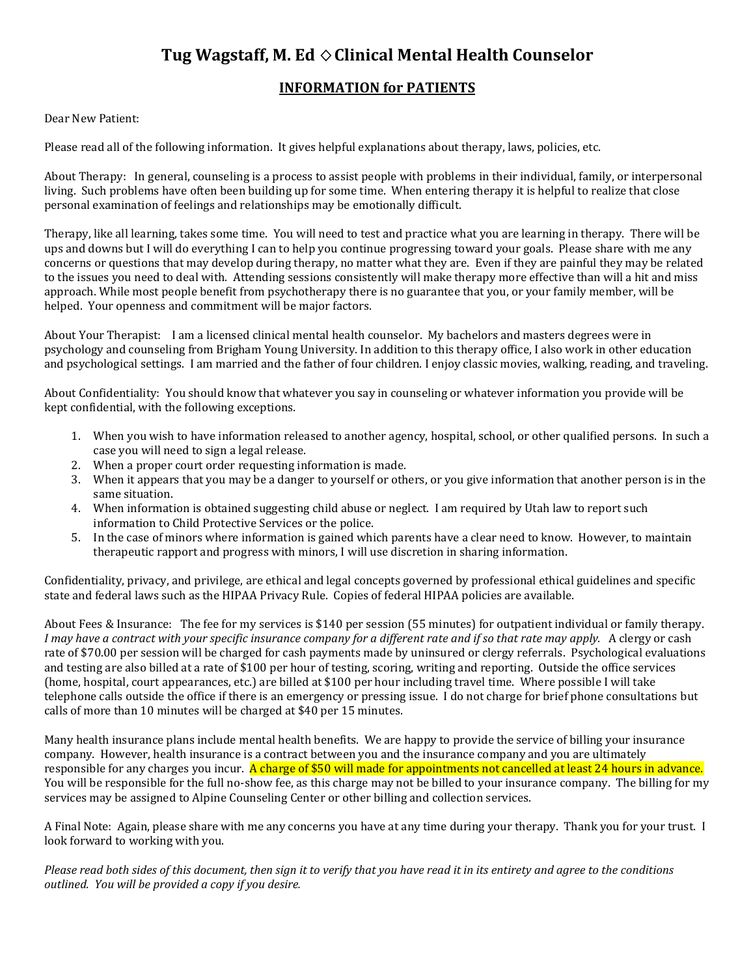## **Tug Wagstaff, M. Ed**  $\diamond$  **Clinical Mental Health Counselor**

## **INFORMATION for PATIENTS**

## Dear New Patient:

Please read all of the following information. It gives helpful explanations about therapy, laws, policies, etc.

About Therapy: In general, counseling is a process to assist people with problems in their individual, family, or interpersonal living. Such problems have often been building up for some time. When entering therapy it is helpful to realize that close personal examination of feelings and relationships may be emotionally difficult.

Therapy, like all learning, takes some time. You will need to test and practice what you are learning in therapy. There will be ups and downs but I will do everything I can to help you continue progressing toward your goals. Please share with me any concerns or questions that may develop during therapy, no matter what they are. Even if they are painful they may be related to the issues you need to deal with. Attending sessions consistently will make therapy more effective than will a hit and miss approach. While most people benefit from psychotherapy there is no guarantee that you, or your family member, will be helped. Your openness and commitment will be major factors.

About Your Therapist: I am a licensed clinical mental health counselor. My bachelors and masters degrees were in psychology and counseling from Brigham Young University. In addition to this therapy office, I also work in other education and psychological settings. I am married and the father of four children. I enjoy classic movies, walking, reading, and traveling.

About Confidentiality: You should know that whatever you say in counseling or whatever information you provide will be kept confidential, with the following exceptions.

- 1. When you wish to have information released to another agency, hospital, school, or other qualified persons. In such a case you will need to sign a legal release.
- 2. When a proper court order requesting information is made.
- 3. When it appears that you may be a danger to yourself or others, or you give information that another person is in the same situation.
- 4. When information is obtained suggesting child abuse or neglect. I am required by Utah law to report such information to Child Protective Services or the police.
- 5. In the case of minors where information is gained which parents have a clear need to know. However, to maintain therapeutic rapport and progress with minors, I will use discretion in sharing information.

Confidentiality, privacy, and privilege, are ethical and legal concepts governed by professional ethical guidelines and specific state and federal laws such as the HIPAA Privacy Rule. Copies of federal HIPAA policies are available.

About Fees & Insurance: The fee for my services is \$140 per session (55 minutes) for outpatient individual or family therapy. *I may have a contract with your specific insurance company for a different rate and if so that rate may apply.* A clergy or cash rate of \$70.00 per session will be charged for cash payments made by uninsured or clergy referrals. Psychological evaluations and testing are also billed at a rate of \$100 per hour of testing, scoring, writing and reporting. Outside the office services (home, hospital, court appearances, etc.) are billed at \$100 per hour including travel time. Where possible I will take telephone calls outside the office if there is an emergency or pressing issue. I do not charge for brief phone consultations but calls of more than 10 minutes will be charged at \$40 per 15 minutes.

Many health insurance plans include mental health benefits. We are happy to provide the service of billing your insurance company. However, health insurance is a contract between you and the insurance company and you are ultimately responsible for any charges you incur. A charge of \$50 will made for appointments not cancelled at least 24 hours in advance. You will be responsible for the full no-show fee, as this charge may not be billed to your insurance company. The billing for my services may be assigned to Alpine Counseling Center or other billing and collection services.

A Final Note: Again, please share with me any concerns you have at any time during your therapy. Thank you for your trust. I look forward to working with you.

*Please read both sides of this document, then sign it to verify that you have read it in its entirety and agree to the conditions outlined. You will be provided a copy if you desire.*